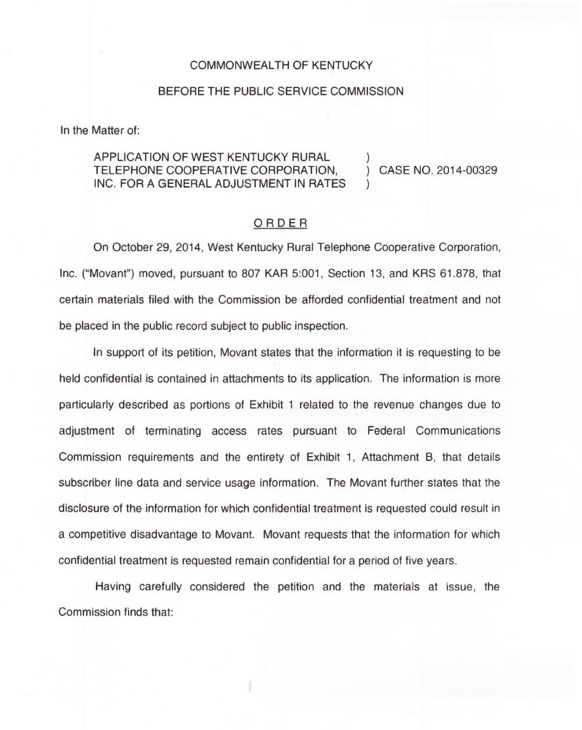## COMMONWEALTH OF KENTUCKY

## BEFORE THE PUBLIC SERVICE COMMISSION

In the Matter of:

## APPLICATION OF WEST KENTUCKY RURAL TELEPHONE COOPERATIVE CORPORATION, INC. FOR A GENERAL ADJUSTMENT IN RATES

) CASE NO. 2014-00329

)

)

## ORDER

On October 29, 2014, West Kentucky Rural Telephone Cooperative Corporation, Inc. ("Movant") moved, pursuant to 807 KAR 5:001, Section 13, and KRS 61.878, that certain materials filed with the Commission be afforded confidential treatment and not be placed in the public record subject to public inspection.

In support of its petition, Movant states that the information it is requesting to be held confidential is contained in attachments to its application. The information is more particularly described as portions of Exhibit <sup>1</sup> related to the revenue changes due to adjustment of terminating access rates pursuant to Federal Communications Commission requirements and the entirety of Exhibit 1, Attachment B, that details subscriber line data and service usage information. The Movant further states that the disclosure of the information for which confidential treatment is requested could result in a competitive disadvantage to Movant. Movant requests that the information for which confidential treatment is requested remain confidential for a period of five years.

Having carefully considered the petition and the materials at issue, the Commission finds that: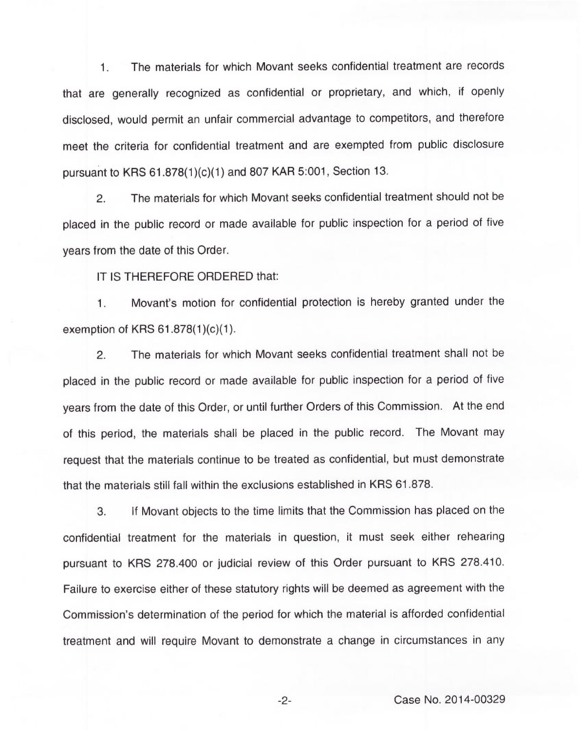1. The materials for which Movant seeks confidential treatment are records that are generally recognized as confidential or proprietary, and which, if openly disclosed, would permit an unfair commercial advantage to competitors, and therefore meet the criteria for confidential treatment and are exempted from public disclosure pursuant to KRS 61.878(1)(c)(1) and 807 KAR 5:001, Section 13.

2. The materials for which Movant seeks confidential treatment should not be placed in the public record or made available for public inspection for a period of five years from the date of this Order.

IT IS THEREFORE ORDERED that:

Movant's motion for confidential protection is hereby granted under the  $1.$ exemption of KRS 61.878(1)(c)(1).

2. The materials for which Movant seeks confidential treatment shall not be placed in the public record or made available for public inspection for a period of five years from the date of this Order, or until further Orders of this Commission. At the end of this period, the materials shall be placed in the public record. The Movant may request that the materials continue to be treated as confidential, but must demonstrate that the materials still fall within the exclusions established in KRS 61.878.

3. If Movant objects to the time limits that the Commission has placed on the confidential treatment for the materials in question, it must seek either rehearing pursuant to KRS 278.400 or judicial review of this Order pursuant to KRS 278.410. Failure to exercise either of these statutory rights will be deemed as agreement with the Commission's determination of the period for which the material is afforded confidential treatment and will require Movant to demonstrate a change in circumstances in any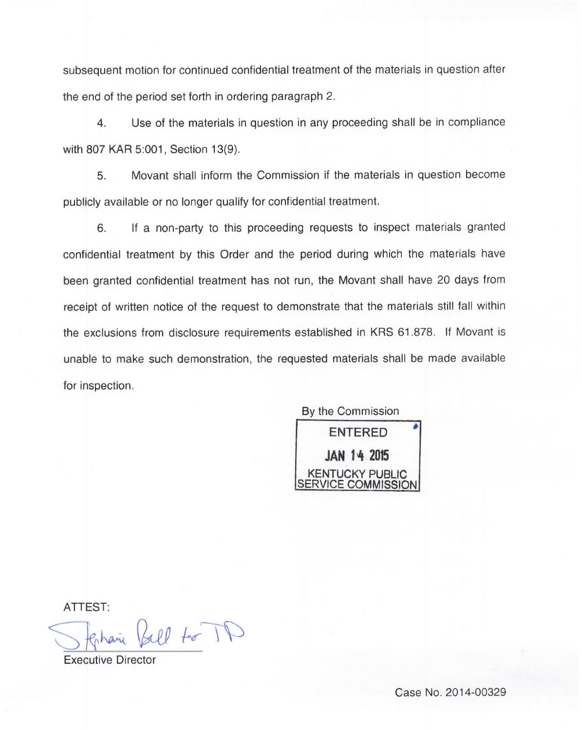subsequent motion for continued confidential treatment of the materials in question after the end of the period set forth in ordering paragraph 2.

4. Use of the materials in question in any proceeding shall be in compliance with 807 KAR 5:001, Section 13(9).

5. Movant shall inform the Commission if the materials in question become publicly available or no longer qualify for confidential treatment.

6. If a non-party to this proceeding requests to inspect materials granted confidential treatment by this Order and the period during which the materials have been granted confidential treatment has not run, the Movant shall have 20 days from receipt of written notice of the request to demonstrate that the materials still fall within the exclusions from disclosure requirements established in KRS 61.878. If Movant is unable to make such demonstration, the requested materials shall be made available for inspection.

By the Commission ENTERED  $JAN$  14 2015 KENTUCKY PUBLIC SERVICE COMMISSION

ATTEST:

arie Bell to TD

Executive Director